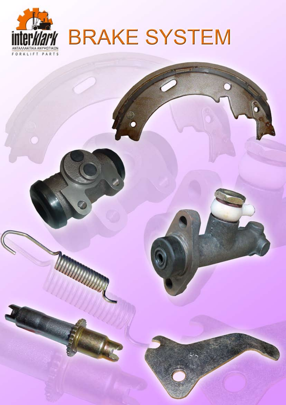

# **BRAKE SYSTEM**

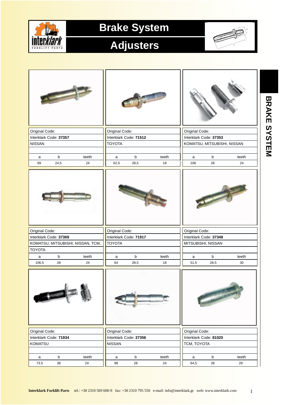

# **Adjusters**



| Original Code:         |             |                                   | Original Code: |                        |       | Original Code:     |                             |       |  |
|------------------------|-------------|-----------------------------------|----------------|------------------------|-------|--------------------|-----------------------------|-------|--|
| Interklark Code: 37357 |             |                                   |                | Interklark Code: 71512 |       |                    | Interklark Code: 37353      |       |  |
| <b>NISSAN</b>          |             |                                   | <b>TOYOTA</b>  |                        |       |                    | KOMATSU, MITSUBISHI, NISSAN |       |  |
|                        |             |                                   |                |                        |       |                    |                             |       |  |
| a                      | $\mathsf b$ | teeth                             | a              | $\sf b$                | teeth | a                  | $\mathsf b$                 | teeth |  |
| 69                     | 24,5        | 24                                | 62,5           | 28,5                   | 18    | 106                | 28                          | 24    |  |
|                        |             |                                   |                |                        |       |                    |                             |       |  |
| Original Code:         |             |                                   | Original Code: |                        |       | Original Code:     |                             |       |  |
| Interklark Code: 37369 |             |                                   |                | Interklark Code: 71917 |       |                    | Interklark Code: 37348      |       |  |
|                        |             | KOMATSU, MITSUBISHI, NISSAN, TCM, | <b>TOYOTA</b>  |                        |       | MITSUBISHI, NISSAN |                             |       |  |
| <b>TOYOTA</b>          |             |                                   |                |                        |       |                    |                             |       |  |
| a                      | b           | teeth                             | a              | b                      | teeth | a                  | $\mathsf b$                 | teeth |  |
| 106,5                  | 28          | 24                                | 64             | 28,5                   | 18    | 51,5               | 28,5                        | 30    |  |
|                        |             |                                   |                |                        |       |                    |                             |       |  |
| Original Code:         |             |                                   | Original Code: |                        |       | Original Code:     |                             |       |  |
| Interklark Code: 71934 |             |                                   |                | Interklark Code: 37356 |       |                    | Interklark Code: 81020      |       |  |
| KOMATSU                |             |                                   | <b>NISSAN</b>  |                        |       | TCM, TOYOTA        |                             |       |  |
|                        |             |                                   |                |                        |       |                    |                             |       |  |
| $\mathsf{a}$           | b           | teeth                             | a              | b                      | teeth | a                  | $\mathsf b$                 | teeth |  |
| 73,5                   | 38          | 24                                | 98             | 28                     | 24    | 64,5               | 28                          | 28    |  |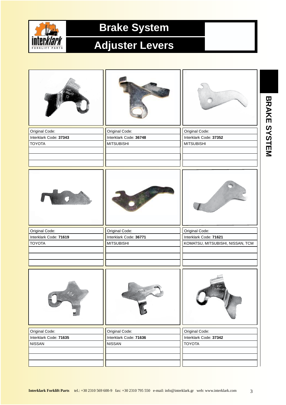

# **Adjuster Levers**

| Original Code:                          | Original Code:                              | Original Code:                                             |
|-----------------------------------------|---------------------------------------------|------------------------------------------------------------|
| Interklark Code: 37343<br><b>TOYOTA</b> | Interklark Code: 36748<br><b>MITSUBISHI</b> | Interklark Code: 37352<br><b>MITSUBISHI</b>                |
|                                         |                                             |                                                            |
|                                         |                                             |                                                            |
|                                         |                                             |                                                            |
| Original Code:                          | Original Code:                              | Original Code:                                             |
| Interklark Code: 71619<br><b>TOYOTA</b> | Interklark Code: 36771<br><b>MITSUBISHI</b> | Interklark Code: 71621<br>KOMATSU, MITSUBISHI, NISSAN, TCM |
|                                         |                                             |                                                            |
| 1                                       | $\widehat{\Phi}$                            | $PAT_2$                                                    |
| Original Code:                          | Original Code:                              | Original Code:                                             |
| Interklark Code: 71635<br><b>NISSAN</b> | Interklark Code: 71636<br><b>NISSAN</b>     | Interklark Code: 37342<br><b>TOYOTA</b>                    |
|                                         |                                             |                                                            |
|                                         |                                             |                                                            |

BRAKE SYSTEM **BRAKE SYSTEM**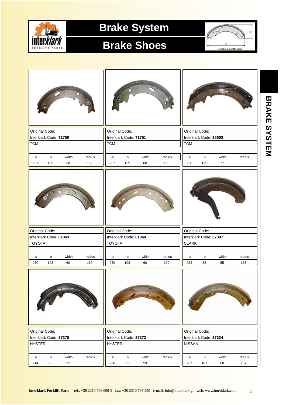

#### **Brake Shoes**



**BRAKE SYSTEM**

BRAKE SYSTEM

| Original Code: |                        |       |        | Original Code: |                        |       |        | Original Code: |                        |       |        |
|----------------|------------------------|-------|--------|----------------|------------------------|-------|--------|----------------|------------------------|-------|--------|
|                | Interklark Code: 71750 |       |        |                | Interklark Code: 71751 |       |        |                | Interklark Code: 36603 |       |        |
| <b>TCM</b>     |                        |       |        | <b>TCM</b>     |                        |       |        | <b>TCM</b>     |                        |       |        |
|                |                        |       |        |                |                        |       |        |                |                        |       |        |
| a              | $\mathsf b$            | width | radius | a              | b                      | width | radius | a              | $\mathsf b$            | width | radius |
| 297            | 129                    | 60    | 159    | 297            | 129                    | 60    | 159    | 290            | 135                    | 77    |        |
|                |                        |       |        |                |                        |       |        |                |                        |       |        |
| Original Code: |                        |       |        | Original Code: |                        |       |        | Original Code: |                        |       |        |
|                | Interklark Code: 81063 |       |        |                | Interklark Code: 81064 |       |        |                | Interklark Code: 37387 |       |        |
| <b>TOYOTA</b>  |                        |       |        | <b>TOYOTA</b>  |                        |       |        | <b>CLARK</b>   |                        |       |        |
|                |                        |       |        |                |                        |       |        |                |                        |       |        |
| a              | b                      | width | radius | a              | b                      | width | radius | a              | b                      | width | radius |
| 280            | 108                    | 60    | 160    | 280            | 108                    | 60    | 160    | 252            | 88                     | 55    | 153    |
|                |                        |       |        |                |                        |       |        |                |                        |       |        |
| Original Code: |                        |       |        | Original Code: |                        |       |        | Original Code: |                        |       |        |
|                | Interklark Code: 37378 |       |        |                | Interklark Code: 37372 |       |        |                | Interklark Code: 37334 |       |        |
| <b>HYSTER</b>  |                        |       |        | <b>HYSTER</b>  |                        |       |        | <b>NISSAN</b>  |                        |       |        |
|                |                        |       |        |                |                        |       |        |                |                        |       |        |
| $\mathsf{a}$   | b                      | width | radius | a              | $\sf b$                | width | radius | a              | b                      | width | radius |
| 214            | 95                     | 52    |        | 220            | 82                     | 59    |        | 297            | 107                    | 60    | 157    |

5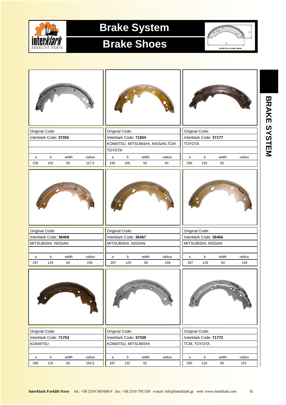

#### **Brake Shoes**



| Original Code: |                        |             |               | Original Code: |                        |             |                                  | Original Code: |                        |             |               |
|----------------|------------------------|-------------|---------------|----------------|------------------------|-------------|----------------------------------|----------------|------------------------|-------------|---------------|
|                | Interklark Code: 37355 |             |               |                | Interklark Code: 71804 |             |                                  |                | Interklark Code: 37177 |             |               |
|                |                        |             |               |                |                        |             | KOMATSU, MITSUBISHI, NISSAN, TCM | <b>TOYOTA</b>  |                        |             |               |
|                |                        |             |               | <b>TOYOTA</b>  |                        |             |                                  |                |                        |             |               |
| a              | b                      | width       | radius        | $\mathsf{a}$   | $\mathsf b$            | width       | radius                           | a              | b                      | width       | radius        |
| 236            | 102                    | 50          | 127,5         | 240            | 105                    | 50          | 50                               | 290            | 130                    | 62          |               |
|                |                        |             |               |                |                        |             |                                  |                |                        |             |               |
| Original Code: |                        |             |               | Original Code: |                        |             |                                  | Original Code: |                        |             |               |
|                | Interklark Code: 36468 |             |               |                | Interklark Code: 36467 |             |                                  |                | Interklark Code: 36466 |             |               |
|                | MITSUBISHI, NISSAN     |             |               |                | MITSUBISHI, NISSAN     |             |                                  |                | MITSUBISHI, NISSAN     |             |               |
|                |                        |             |               |                |                        |             |                                  |                |                        |             |               |
| a<br>297       | b<br>129               | width<br>60 | radius<br>159 | a<br>297       | b<br>129               | width<br>60 | radius<br>159                    | a<br>297       | $\mathsf b$<br>129     | width<br>60 | radius<br>159 |
|                |                        |             |               |                |                        |             |                                  |                |                        |             |               |
|                |                        |             |               |                |                        |             |                                  |                |                        |             |               |
| Original Code: |                        |             |               | Original Code: |                        |             |                                  | Original Code: |                        |             |               |
|                | Interklark Code: 71753 |             |               |                | Interklark Code: 37339 |             |                                  |                | Interklark Code: 71772 |             |               |
| <b>KOMATSU</b> |                        |             |               |                | KOMATSU, MITSUBISHI    |             |                                  | TCM, TOYOTA    |                        |             |               |
|                |                        |             |               |                |                        |             |                                  |                |                        |             |               |
| a              | b                      | width       | radius        | a              | $\mathsf b$            | width       | radius                           | $\mathsf{a}$   | $\mathsf b$            | width       | radius        |
| 288            | 125                    | 60          | 154,5         | 287            | 132                    | 62          |                                  | 290            | 126                    | 60          | 153           |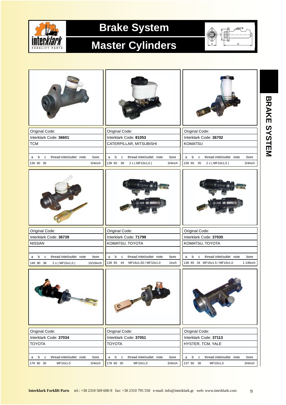

#### **Master Cylinders**



| Original Code:                                            | Original Code:                                            | Original Code:                                             |  |  |  |  |
|-----------------------------------------------------------|-----------------------------------------------------------|------------------------------------------------------------|--|--|--|--|
| Interklark Code: 36601                                    | Interklark Code: 81053                                    | Interklark Code: 36702                                     |  |  |  |  |
| <b>TCM</b>                                                | CATERPILLAR, MITSUBISHI                                   | <b>KOMATSU</b>                                             |  |  |  |  |
|                                                           |                                                           |                                                            |  |  |  |  |
| thread inlet/outlet note<br>b<br>$\mathbf c$<br>bore<br>a | thread inlet/outlet note<br>b<br>$\mathbf c$<br>bore<br>a | thread inlet/outlet note<br>b<br>$\mathbf{C}$<br>bore<br>a |  |  |  |  |
| 136 60 36<br>3/4inch                                      | 138 60<br>38<br>2 x (MF10x1,0)<br>3/4inch                 | 158 60 35<br>3/4inch<br>2 x (MF10x1,0)                     |  |  |  |  |
|                                                           |                                                           |                                                            |  |  |  |  |
| Original Code:                                            | Original Code:                                            | Original Code:                                             |  |  |  |  |
| Interklark Code: 36739                                    | Interklark Code: 71799                                    | Interklark Code: 37030                                     |  |  |  |  |
| <b>NISSAN</b>                                             | KOMATSU, TOYOTA                                           | KOMATSU, TOYOTA                                            |  |  |  |  |
|                                                           |                                                           |                                                            |  |  |  |  |
| thread inlet/outlet note<br>bore<br>b<br>$\mathbf c$<br>a | b<br>thread inlet/outlet note<br>a<br>$\mathbf c$<br>bore | b c<br>thread inlet/outlet note<br>a<br>bore               |  |  |  |  |
| 146 80 38<br>2 x (MF10x1,0)<br>15/16inch                  | 138 65 44<br>MF16x1,50 / MF10x1,0<br>1inch                | 138 65 34 MF16x1,5 / MF10x1,0<br>$11/8$ inch               |  |  |  |  |
|                                                           | $\sim$                                                    |                                                            |  |  |  |  |
| Original Code:                                            | Original Code:                                            | Original Code:                                             |  |  |  |  |
| Interklark Code: 37034                                    | Interklark Code: 37051                                    | Interklark Code: 37113                                     |  |  |  |  |
| <b>TOYOTA</b>                                             | <b>TOYOTA</b>                                             | HYSTER, TCM, YALE                                          |  |  |  |  |
|                                                           |                                                           |                                                            |  |  |  |  |
| thread inlet/outlet note<br>b<br>$\mathbf c$<br>bore<br>a | thread inlet/outlet note<br>b<br>bore<br>$\mathbf c$<br>a | b<br>thread inlet/outlet note<br>$\mathbf c$<br>bore<br>a  |  |  |  |  |
| 178 60 30<br>MF10x1,0<br>3/4inch                          | 178 60 30<br>MF10x1,0<br>3/4inch                          | 137 60 36<br>MF10x1,0<br>3/4inch                           |  |  |  |  |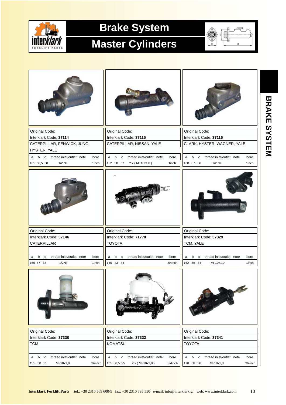

#### **Master Cylinders**



**BRAKE SYSTEM**

BRAKE SYSTEM

| Original Code:                                            | Original Code:                                             | Original Code:                                             |  |  |  |  |
|-----------------------------------------------------------|------------------------------------------------------------|------------------------------------------------------------|--|--|--|--|
| Interklark Code: 37114                                    | Interklark Code: 37115                                     | Interklark Code: 37116                                     |  |  |  |  |
| CATERPILLAR, FENWICK, JUNG,                               | CATERPILLAR, NISSAN, YALE                                  | CLARK, HYSTER, WAGNER, YALE                                |  |  |  |  |
| HYSTER, YALE                                              |                                                            |                                                            |  |  |  |  |
| c thread inlet/outlet note<br>b<br>bore<br>a              | thread inlet/outlet note<br>b<br>$\mathtt{C}$<br>bore<br>a | thread inlet/outlet note<br>b<br>$\mathbf{C}$<br>bore<br>a |  |  |  |  |
| 161 60,5 38<br>$1/2$ NF<br>1inch                          | 152 98 37<br>2 x (MF10x1,0)<br>1inch                       | 160 87 38<br>$1/2$ NF<br>1inch                             |  |  |  |  |
|                                                           |                                                            |                                                            |  |  |  |  |
| Original Code:                                            | Original Code:                                             | Original Code:                                             |  |  |  |  |
| Interklark Code: 37146                                    | Interklark Code: 71778                                     | Interklark Code: 37329                                     |  |  |  |  |
| CATERPILLAR                                               | <b>TOYOTA</b>                                              | TCM, YALE                                                  |  |  |  |  |
|                                                           |                                                            |                                                            |  |  |  |  |
| thread inlet/outlet note<br>b<br>$\mathbf c$<br>bore<br>a | thread inlet/outlet note<br>bore<br>b<br>$\mathbf c$<br>a  | b c<br>thread inlet/outlet note<br>a<br>bore               |  |  |  |  |
| 160 87 38<br>1/2NF<br>1inch                               | 140 43 44<br>3/4inch                                       | 162 55 34<br>MF10x1,0<br>1inch                             |  |  |  |  |
|                                                           |                                                            |                                                            |  |  |  |  |
| Original Code:                                            | Original Code:                                             | Original Code:                                             |  |  |  |  |
| Interklark Code: 37330                                    | Interklark Code: 37332                                     | Interklark Code: 37341                                     |  |  |  |  |
| <b>TCM</b>                                                | <b>KOMATSU</b>                                             | <b>TOYOTA</b>                                              |  |  |  |  |
|                                                           |                                                            |                                                            |  |  |  |  |
| thread inlet/outlet note<br>b<br>$\mathbf c$<br>bore<br>a | b<br>thread inlet/outlet note<br>$\mathbf{C}$<br>bore<br>a | b<br>thread inlet/outlet note<br>${\bf c}$<br>bore<br>a    |  |  |  |  |
| 151 60 35<br>MF10x1,0<br>3/4inch                          | 161 60,5 35<br>2 x (MF10x1,0)<br>3/4inch                   | 178 60 30<br>MF10x1,0<br>3/4inch                           |  |  |  |  |

10 **Interklark Forklift Parts** tel.: +30 2310 569 600-9 fax: +30 2310 795 550 e-mail: info@interklark.gr web: www.interklark.com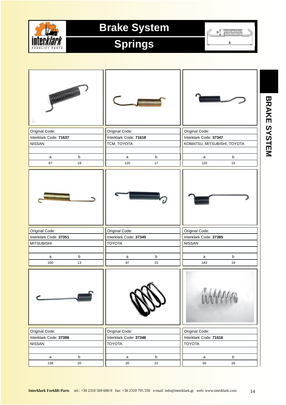

# **Springs**

 $\frac{1}{2}$ C

a

| Original Code:                                                |         | Original Code:                                            |             | Original Code:                                            |             |
|---------------------------------------------------------------|---------|-----------------------------------------------------------|-------------|-----------------------------------------------------------|-------------|
| Interklark Code: 71637                                        |         | Interklark Code: 71618                                    |             | Interklark Code: 37347                                    |             |
| <b>NISSAN</b>                                                 |         | TCM, TOYOTA                                               |             | KOMATSU, MITSUBISHI, TOYOTA                               |             |
| a                                                             | $\sf b$ | a                                                         | $\mathsf b$ | a                                                         | $\mathsf b$ |
| 87                                                            | 19      | 120                                                       | 17          | 120                                                       | 15          |
| Original Code:<br>Interklark Code: 37351<br><b>MITSUBISHI</b> |         | Original Code:<br>Interklark Code: 37345<br><b>TOYOTA</b> |             | Original Code:<br>Interklark Code: 37385<br><b>NISSAN</b> |             |
|                                                               |         |                                                           |             |                                                           |             |
| a                                                             | $\sf b$ | a                                                         | $\mathsf b$ | a                                                         | $\mathsf b$ |
| 100                                                           | 13      | 97                                                        | 15          | 143                                                       | 19          |
|                                                               | ,,,,,,, |                                                           |             |                                                           |             |
| Original Code:                                                |         | Original Code:                                            |             | Original Code:                                            |             |
| Interklark Code: 37386                                        |         | Interklark Code: 37346                                    |             | Interklark Code: 71616                                    |             |
| <b>NISSAN</b>                                                 |         | <b>TOYOTA</b>                                             |             | <b>TOYOTA</b>                                             |             |
| a                                                             | $\sf b$ | a                                                         | $\mathsf b$ | a                                                         | $\mathsf b$ |
| 138                                                           | 20      | 20                                                        | 22          | 50                                                        | 26          |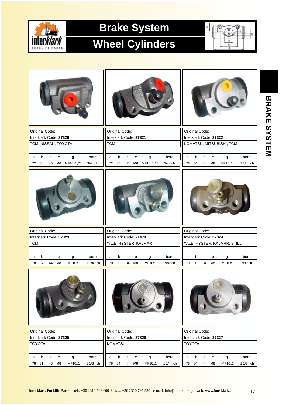

#### **Wheel Cylinders**



| Original Code:                                                                                                 | Original Code:<br>Original Code:                                                                                                                                            |                                  |  |  |  |  |
|----------------------------------------------------------------------------------------------------------------|-----------------------------------------------------------------------------------------------------------------------------------------------------------------------------|----------------------------------|--|--|--|--|
| Interklark Code: 37320                                                                                         | Interklark Code: 37321<br>Interklark Code: 37322                                                                                                                            |                                  |  |  |  |  |
| TCM, NISSAN, TOYOTA                                                                                            | <b>TCM</b><br>KOMATSU, MITSUBISHI, TCM                                                                                                                                      |                                  |  |  |  |  |
|                                                                                                                |                                                                                                                                                                             |                                  |  |  |  |  |
| $\mathsf b$<br>bore<br>$\mathbf{C}$<br>e<br>g<br>a<br>MF10x1,25<br>38<br>45<br>M <sub>6</sub><br>72<br>3/4inch | b<br>$\mathbf{C}$<br>bore<br>b<br>$\mathbf{C}$<br>${\bf e}$<br>g<br>${\bf e}$<br>a<br>a<br>34<br>M8<br>38<br>M <sub>6</sub><br>MF10x1,25<br>44<br>72<br>45<br>3/4inch<br>78 | bore<br>g<br>MF10x1<br>1 1/4inch |  |  |  |  |
|                                                                                                                |                                                                                                                                                                             |                                  |  |  |  |  |
| Original Code:                                                                                                 | Original Code:<br>Original Code:                                                                                                                                            |                                  |  |  |  |  |
| Interklark Code: 37323                                                                                         | Interklark Code: 71470                                                                                                                                                      | Interklark Code: 37324           |  |  |  |  |
| <b>TCM</b>                                                                                                     | YALE, HYSTER, KALMAR<br>YALE, HYSTER, KALMAR, STILL                                                                                                                         |                                  |  |  |  |  |
| b<br>bore<br>с<br>e<br>g<br>a                                                                                  | b<br>bore<br>b<br>$\mathbf{C}$<br>a<br>с<br>e<br>g<br>a<br>e                                                                                                                | bore<br>$\mathsf g$              |  |  |  |  |
| 44<br>MF10x1<br>1 1/4inch<br>34<br>M8<br>78                                                                    | 30<br>MF10x1<br>30<br>70<br>34<br>M8<br>7/8inch<br>70<br>34<br>M <sub>8</sub>                                                                                               | <b>MF10x1</b><br>7/8inch         |  |  |  |  |
|                                                                                                                |                                                                                                                                                                             |                                  |  |  |  |  |
| Original Code:                                                                                                 | Original Code:<br>Original Code:                                                                                                                                            |                                  |  |  |  |  |
| Interklark Code: 37325                                                                                         | Interklark Code: 37326<br>Interklark Code: 37327                                                                                                                            |                                  |  |  |  |  |
|                                                                                                                | <b>KOMATSU</b><br><b>TOYOTA</b>                                                                                                                                             |                                  |  |  |  |  |
| <b>TOYOTA</b>                                                                                                  |                                                                                                                                                                             |                                  |  |  |  |  |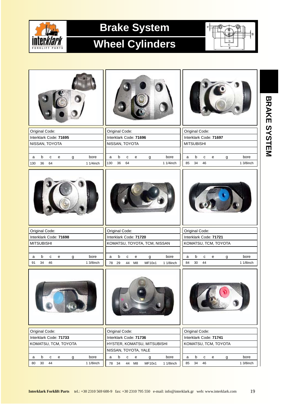

# **Wheel Cylinders**



|     | Original Code:    |                        |   |           | Original Code:                           |                              |    |                             |             |                        |                   | Original Code:       |                        |   |             |
|-----|-------------------|------------------------|---|-----------|------------------------------------------|------------------------------|----|-----------------------------|-------------|------------------------|-------------------|----------------------|------------------------|---|-------------|
|     |                   | Interklark Code: 71695 |   |           | Interklark Code: 71696                   |                              |    |                             |             |                        |                   |                      | Interklark Code: 71697 |   |             |
|     |                   | NISSAN, TOYOTA         |   |           | NISSAN, TOYOTA                           |                              |    |                             |             |                        | <b>MITSUBISHI</b> |                      |                        |   |             |
|     |                   |                        |   |           |                                          |                              |    |                             |             |                        |                   |                      |                        |   |             |
| a   | b                 | $\mathbf C$<br>е       | g | bore      | $\mathsf b$<br>a                         | $\mathbf{C}$                 | e  | g                           | bore        | a                      | $\mathbf b$       | $\mathbf{C}$         | e                      | g | bore        |
| 130 | 36                | 64                     |   | 1 1/4inch | 36<br>130                                | 64                           |    |                             | 1 1/4inch   | 85                     | 34                | 46                   |                        |   | $13/8$ inch |
|     |                   |                        |   |           |                                          |                              |    |                             |             |                        |                   |                      |                        |   |             |
|     | Original Code:    |                        |   |           | Original Code:                           |                              |    |                             |             |                        |                   | Original Code:       |                        |   |             |
|     |                   | Interklark Code: 71698 |   |           | Interklark Code: 71720                   |                              |    |                             |             | Interklark Code: 71721 |                   |                      |                        |   |             |
|     | <b>MITSUBISHI</b> |                        |   |           |                                          | KOMATSU, TOYOTA, TCM, NISSAN |    |                             |             |                        |                   | KOMATSU, TCM, TOYOTA |                        |   |             |
|     |                   |                        |   |           |                                          |                              |    |                             |             |                        |                   |                      |                        |   |             |
|     |                   |                        |   |           |                                          |                              |    |                             |             |                        |                   |                      |                        |   |             |
| a   | b                 | $\mathbf{C}$<br>e      | g | bore      | b<br>a                                   | $\mathbf{C}$                 | e  | $\mathsf g$                 | bore        | a                      | b                 | $\mathbf{C}$         | e                      | g | bore        |
| 91  | 34                | 46                     |   | 1 3/8inch | 29<br>78                                 | 44                           | M8 | MF10x1                      | $11/8$ inch | 84                     | 30                | 44                   |                        |   | 1 1/8inch   |
|     |                   |                        |   |           |                                          |                              |    |                             |             |                        |                   |                      |                        |   |             |
|     |                   |                        |   |           |                                          |                              |    |                             |             |                        |                   |                      |                        |   |             |
|     | Original Code:    | Interklark Code: 71733 |   |           | Original Code:<br>Interklark Code: 71736 |                              |    |                             |             |                        |                   | Original Code:       | Interklark Code: 71741 |   |             |
|     |                   | KOMATSU, TCM, TOYOTA   |   |           |                                          |                              |    | HYSTER, KOMATSU, MITSUBISHI |             |                        |                   |                      | KOMATSU, TCM, TOYOTA   |   |             |
|     |                   |                        |   |           | NISSAN, TOYOTA, YALE                     |                              |    |                             |             |                        |                   |                      |                        |   |             |

BRAKE SYSTEM **BRAKE SYSTEM**